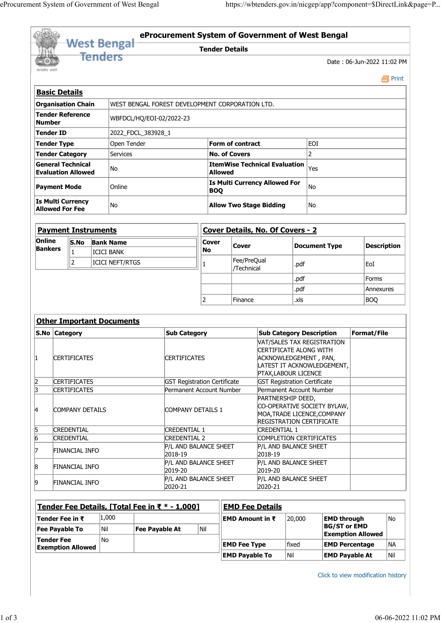|                                                       |                     |                   | eProcurement System of Government of West Bengal |                                     |                       |                      |                                                               |                                                                   |                            |
|-------------------------------------------------------|---------------------|-------------------|--------------------------------------------------|-------------------------------------|-----------------------|----------------------|---------------------------------------------------------------|-------------------------------------------------------------------|----------------------------|
|                                                       |                     |                   |                                                  |                                     |                       |                      |                                                               |                                                                   |                            |
|                                                       |                     |                   |                                                  |                                     |                       |                      |                                                               |                                                                   |                            |
|                                                       |                     |                   |                                                  |                                     |                       |                      |                                                               |                                                                   |                            |
|                                                       |                     |                   |                                                  |                                     |                       |                      |                                                               |                                                                   |                            |
|                                                       |                     |                   |                                                  |                                     |                       |                      |                                                               |                                                                   |                            |
|                                                       |                     |                   |                                                  |                                     |                       |                      |                                                               |                                                                   |                            |
|                                                       |                     |                   |                                                  |                                     |                       |                      |                                                               |                                                                   |                            |
|                                                       |                     |                   |                                                  |                                     |                       |                      |                                                               |                                                                   |                            |
|                                                       |                     |                   |                                                  |                                     |                       |                      |                                                               |                                                                   |                            |
|                                                       |                     |                   |                                                  |                                     |                       |                      |                                                               | https://wbtenders.gov.in/nicgep/app?component=\$DirectLink&page=P |                            |
|                                                       |                     |                   |                                                  |                                     |                       |                      |                                                               |                                                                   |                            |
|                                                       |                     |                   |                                                  |                                     |                       |                      |                                                               |                                                                   |                            |
|                                                       |                     |                   | <b>West Bengal</b>                               |                                     |                       |                      |                                                               | eProcurement System of Government of West Bengal                  |                            |
|                                                       |                     | <b>Tenders</b>    |                                                  |                                     | <b>Tender Details</b> |                      |                                                               |                                                                   |                            |
| सत्यमेव जयते                                          |                     |                   |                                                  |                                     |                       |                      |                                                               |                                                                   | Date: 06-Jun-2022 11:02 PM |
|                                                       |                     |                   |                                                  |                                     |                       |                      |                                                               |                                                                   | <b>昌</b> Print             |
| <b>Basic Details</b>                                  |                     |                   |                                                  |                                     |                       |                      |                                                               |                                                                   |                            |
| <b>Organisation Chain</b>                             |                     |                   | WEST BENGAL FOREST DEVELOPMENT CORPORATION LTD.  |                                     |                       |                      |                                                               |                                                                   |                            |
| <b>Tender Reference</b><br><b>Number</b>              |                     |                   | WBFDCL/HQ/EOI-02/2022-23                         |                                     |                       |                      |                                                               |                                                                   |                            |
| Tender ID                                             |                     |                   | 2022_FDCL_383928_1                               |                                     |                       |                      |                                                               |                                                                   |                            |
| Tender Type                                           |                     |                   | Open Tender                                      |                                     |                       | Form of contract     |                                                               | EOI                                                               |                            |
| <b>Tender Category</b>                                |                     |                   | Services                                         |                                     |                       | <b>No. of Covers</b> |                                                               | $\overline{2}$                                                    |                            |
| <b>General Technical</b><br><b>Evaluation Allowed</b> |                     |                   | No                                               |                                     | <b>Allowed</b>        |                      | <b>ItemWise Technical Evaluation</b> $ Y_{\text{res}}\rangle$ |                                                                   |                            |
|                                                       |                     |                   |                                                  |                                     |                       |                      | Is Multi Currency Allowed For                                 |                                                                   |                            |
| Payment Mode                                          |                     |                   | Online                                           |                                     | BOQ                   |                      |                                                               | No                                                                |                            |
| Is Multi Currency<br><b>Allowed For Fee</b>           |                     |                   | No                                               |                                     |                       |                      | <b>Allow Two Stage Bidding</b>                                | No                                                                |                            |
|                                                       |                     |                   |                                                  |                                     |                       |                      |                                                               |                                                                   |                            |
| <b>Payment Instruments</b>                            |                     |                   |                                                  |                                     |                       |                      | Cover Details, No. Of Covers - 2                              |                                                                   |                            |
| Online<br><b>Bankers</b>                              | S.No Bank Name      |                   |                                                  |                                     | <b>Cover</b>          | <b>Cover</b>         |                                                               | Document Type                                                     | Description                |
|                                                       |                     | <b>ICICI BANK</b> |                                                  |                                     | No                    | Fee/PreQual          |                                                               |                                                                   |                            |
|                                                       | $ 2\rangle$         |                   | ICICI NEFT/RTGS                                  |                                     |                       | /Technical           |                                                               | .pdf                                                              | EoI                        |
|                                                       |                     |                   |                                                  |                                     |                       |                      |                                                               | .pdf                                                              | Forms                      |
|                                                       |                     |                   |                                                  |                                     |                       |                      |                                                               | .pdf                                                              | Annexures                  |
|                                                       |                     |                   |                                                  |                                     | 2                     | Finance              |                                                               | .xls                                                              | BOQ                        |
|                                                       |                     |                   | <b>Other Important Documents</b>                 |                                     |                       |                      |                                                               |                                                                   |                            |
| S.No Category                                         |                     |                   |                                                  | <b>Sub Category</b>                 |                       |                      |                                                               | <b>Sub Category Description</b>                                   | Format/File                |
|                                                       |                     |                   |                                                  |                                     |                       |                      |                                                               | VAT/SALES TAX REGISTRATION                                        |                            |
| 11                                                    | <b>CERTIFICATES</b> |                   |                                                  | <b>CERTIFICATES</b>                 |                       |                      | CERTIFICATE ALONG WITH                                        | ACKNOWLEDGEMENT, PAN,                                             |                            |
|                                                       |                     |                   |                                                  |                                     |                       |                      |                                                               | LATEST IT ACKNOWLEDGEMENT,                                        |                            |
| $\overline{2}$                                        | <b>CERTIFICATES</b> |                   |                                                  | <b>GST Registration Certificate</b> |                       |                      | PTAX, LABOUR LICENCE<br><b>GST Registration Certificate</b>   |                                                                   |                            |
| 3                                                     | <b>CERTIFICATES</b> |                   |                                                  | Permanent Account Number            |                       |                      | Permanent Account Number                                      |                                                                   |                            |
|                                                       |                     |                   |                                                  |                                     |                       |                      | PARTNERSHIP DEED,                                             | CO-OPERATIVE SOCIETY BYLAW,                                       |                            |
| 14                                                    | COMPANY DETAILS     |                   |                                                  | COMPANY DETAILS 1                   |                       |                      |                                                               | MOA, TRADE LICENCE, COMPANY                                       |                            |
|                                                       | <b>CREDENTIAL</b>   |                   |                                                  | <b>CREDENTIAL 1</b>                 |                       |                      | <b>CREDENTIAL 1</b>                                           | <b>REGISTRATION CERTIFICATE</b>                                   |                            |
|                                                       | <b>CREDENTIAL</b>   |                   |                                                  | <b>CREDENTIAL 2</b>                 |                       |                      |                                                               | COMPLETION CERTIFICATES                                           |                            |
| $\frac{5}{6}$                                         |                     |                   |                                                  | P/L AND BALANCE SHEET               |                       |                      | P/L AND BALANCE SHEET                                         |                                                                   |                            |

| ◡         | <b>CINEDENTIAL</b> | UNLDLINIAL 1                 | <b>NILLLITIAL</b>            |  |
|-----------|--------------------|------------------------------|------------------------------|--|
| 6         | CREDENTIAI         | CREDENTIAI 2                 | COMPLETION CERTIFICATES      |  |
|           | FINANCIAL INFO     | <b>P/L AND BALANCE SHEET</b> | P/L AND BALANCE SHEET        |  |
|           |                    | 2018-19                      | $2018-19$                    |  |
| $\vert 8$ | FINANCIAL INFO     | <b>P/L AND BALANCE SHEET</b> | <b>P/L AND BALANCE SHEET</b> |  |
|           |                    | 2019-20                      | $2019 - 20$                  |  |
| 9         | FINANCIAL INFO     | <b>P/L AND BALANCE SHEET</b> | <b>P/L AND BALANCE SHEET</b> |  |
|           |                    | 2020-21                      | 2020-21                      |  |

| 5           | <b>CREDENTIAL</b>                             |       | <b>CREDENTIAL 1</b>                            |             | <b>CREDENTIAL 1</b>    |                         |                       |                                    |                     |
|-------------|-----------------------------------------------|-------|------------------------------------------------|-------------|------------------------|-------------------------|-----------------------|------------------------------------|---------------------|
| $ 6\rangle$ | <b>CREDENTIAL</b>                             |       | <b>CREDENTIAL 2</b>                            |             |                        | COMPLETION CERTIFICATES |                       |                                    |                     |
|             | FINANCIAL INFO                                |       | P/L AND BALANCE SHEET<br>2018-19               |             | 2018-19                | P/L AND BALANCE SHEET   |                       |                                    |                     |
| $\vert 8$   | FINANCIAL INFO                                |       | P/L AND BALANCE SHEET<br>2019-20               |             | 2019-20                | P/L AND BALANCE SHEET   |                       |                                    |                     |
| $ 9\rangle$ | FINANCIAL INFO                                |       | P/L AND BALANCE SHEET<br>2020-21               |             | 2020-21                | P/L AND BALANCE SHEET   |                       |                                    |                     |
|             |                                               |       | Tender Fee Details, [Total Fee in ₹ * - 1,000] |             | <b>EMD Fee Details</b> |                         |                       |                                    |                     |
|             | Tender Fee in $\bar{\tau}$                    | 1,000 |                                                |             | EMD Amount in ₹        | 20,000                  | <b>EMD through</b>    |                                    | No                  |
|             | <b>Fee Payable To</b>                         | Nil   | <b>Fee Payable At</b>                          | $\vert$ Nil |                        |                         | <b>BG/ST or EMD</b>   | <b>Exemption Allowed</b>           |                     |
|             | <b>Tender Fee</b><br><b>Exemption Allowed</b> | No.   |                                                |             | <b>EMD Fee Type</b>    | fixed                   |                       | <b>EMD Percentage</b>              | NA                  |
|             |                                               |       |                                                |             | <b>EMD Payable To</b>  | Nil                     | <b>EMD Payable At</b> |                                    | Nil                 |
|             |                                               |       |                                                |             |                        |                         |                       | Click to view modification history |                     |
|             |                                               |       |                                                |             |                        |                         |                       |                                    | 06-06-2022 11:02 PM |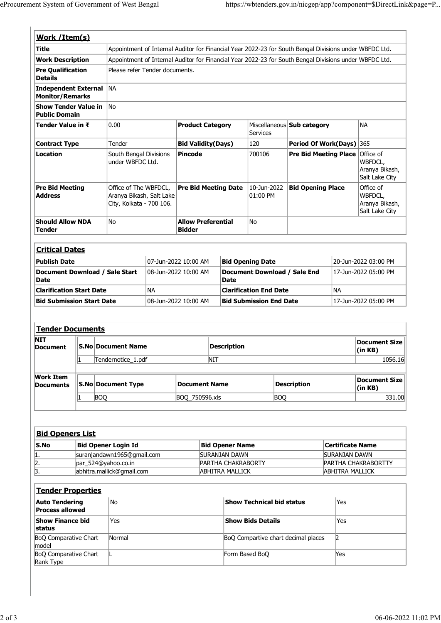| eProcurement System of Government of West Bengal<br>https://wbtenders.gov.in/nicgep/app?component=\$DirectLink&page=P<br>Work / Item(s)<br><b>Title</b><br>Appointment of Internal Auditor for Financial Year 2022-23 for South Bengal Divisions under WBFDC Ltd.<br><b>Work Description</b><br>Appointment of Internal Auditor for Financial Year 2022-23 for South Bengal Divisions under WBFDC Ltd.<br>Pre Qualification<br>Please refer Tender documents.<br>Independent External NA<br><b>Monitor/Remarks</b><br>Show Tender Value in No<br><b>Public Domain</b><br>NA<br>Tender Value in ₹<br>0.00<br>Miscellaneous <b>Sub category</b><br><b>Product Category</b><br><b>Services</b><br>120<br>Period Of Work(Days) 365<br>Tender<br>Bid Validity(Days)<br><b>Contract Type</b><br>South Bengal Divisions<br><b>Pre Bid Meeting Place Office of</b><br>Pincode<br>700106<br>under WBFDC Ltd.<br>WBFDCL,<br>Aranya Bikash,<br>Salt Lake City<br>$10$ -Jun-2022 Bid Opening Place<br>Office of<br><b>Pre Bid Meeting</b><br>Office of The WBFDCL,<br><b>Pre Bid Meeting Date</b><br>WBFDCL,<br>$ 01:00$ PM<br>Aranya Bikash, Salt Lake<br>City, Kolkata - 700 106.<br>Aranya Bikash,<br>Salt Lake City<br><b>Should Allow NDA</b><br><b>Allow Preferential</b><br>No<br>No<br><b>Bidder</b><br><b>Critical Dates</b><br>20-Jun-2022 03:00 PM<br><b>Publish Date</b><br>07-Jun-2022 10:00 AM<br><b>Bid Opening Date</b><br>Document Download / Sale End<br>Document Download / Sale Start<br>08-Jun-2022 10:00 AM<br>17-Jun-2022 05:00 PM<br><b>Date</b><br><b>Date</b><br>NA<br>NA<br><b>Clarification Start Date</b><br><b>Clarification End Date</b><br><b>Bid Submission Start Date</b><br>08-Jun-2022 10:00 AM<br><b>Bid Submission End Date</b><br>17-Jun-2022 05:00 PM<br>Tender Documents<br><b>Document Size</b><br><b>Description</b><br><b>S.No Document Name</b><br>Document<br>(in KB)<br><b>NIT</b><br>1056.16<br>Tendernotice_1.pdf<br><b>Work Item</b><br><b>Document Size</b><br><b>S.No Document Type</b><br>Description<br><b>Document Name</b><br>(in KB)<br><b>BOQ</b><br><b>BOQ</b><br>BOQ_750596.xls<br>331.00<br><b>Bid Openers List</b><br><b>Bid Opener Login Id</b><br>Certificate Name<br><b>Bid Opener Name</b><br>suranjandawn1965@gmail.com<br><b>SURANJAN DAWN</b><br><b>SURANJAN DAWN</b><br>1.<br>$\frac{2}{3}$<br>par_524@yahoo.co.in<br>PARTHA CHAKRABORTY<br>PARTHA CHAKRABORTTY<br>abhitra.mallick@gmail.com<br><b>ABHITRA MALLICK</b><br><b>ABHITRA MALLICK</b> |                  |  |  |  |  |  |
|------------------------------------------------------------------------------------------------------------------------------------------------------------------------------------------------------------------------------------------------------------------------------------------------------------------------------------------------------------------------------------------------------------------------------------------------------------------------------------------------------------------------------------------------------------------------------------------------------------------------------------------------------------------------------------------------------------------------------------------------------------------------------------------------------------------------------------------------------------------------------------------------------------------------------------------------------------------------------------------------------------------------------------------------------------------------------------------------------------------------------------------------------------------------------------------------------------------------------------------------------------------------------------------------------------------------------------------------------------------------------------------------------------------------------------------------------------------------------------------------------------------------------------------------------------------------------------------------------------------------------------------------------------------------------------------------------------------------------------------------------------------------------------------------------------------------------------------------------------------------------------------------------------------------------------------------------------------------------------------------------------------------------------------------------------------------------------------------------------------------------------------------------------------------------------------------------------------------------------------------------------------------------------------------------------------------------------------------------------------------------------------------------------------------------------------------------------------------------------------------------------|------------------|--|--|--|--|--|
|                                                                                                                                                                                                                                                                                                                                                                                                                                                                                                                                                                                                                                                                                                                                                                                                                                                                                                                                                                                                                                                                                                                                                                                                                                                                                                                                                                                                                                                                                                                                                                                                                                                                                                                                                                                                                                                                                                                                                                                                                                                                                                                                                                                                                                                                                                                                                                                                                                                                                                            |                  |  |  |  |  |  |
|                                                                                                                                                                                                                                                                                                                                                                                                                                                                                                                                                                                                                                                                                                                                                                                                                                                                                                                                                                                                                                                                                                                                                                                                                                                                                                                                                                                                                                                                                                                                                                                                                                                                                                                                                                                                                                                                                                                                                                                                                                                                                                                                                                                                                                                                                                                                                                                                                                                                                                            |                  |  |  |  |  |  |
|                                                                                                                                                                                                                                                                                                                                                                                                                                                                                                                                                                                                                                                                                                                                                                                                                                                                                                                                                                                                                                                                                                                                                                                                                                                                                                                                                                                                                                                                                                                                                                                                                                                                                                                                                                                                                                                                                                                                                                                                                                                                                                                                                                                                                                                                                                                                                                                                                                                                                                            |                  |  |  |  |  |  |
|                                                                                                                                                                                                                                                                                                                                                                                                                                                                                                                                                                                                                                                                                                                                                                                                                                                                                                                                                                                                                                                                                                                                                                                                                                                                                                                                                                                                                                                                                                                                                                                                                                                                                                                                                                                                                                                                                                                                                                                                                                                                                                                                                                                                                                                                                                                                                                                                                                                                                                            |                  |  |  |  |  |  |
|                                                                                                                                                                                                                                                                                                                                                                                                                                                                                                                                                                                                                                                                                                                                                                                                                                                                                                                                                                                                                                                                                                                                                                                                                                                                                                                                                                                                                                                                                                                                                                                                                                                                                                                                                                                                                                                                                                                                                                                                                                                                                                                                                                                                                                                                                                                                                                                                                                                                                                            |                  |  |  |  |  |  |
|                                                                                                                                                                                                                                                                                                                                                                                                                                                                                                                                                                                                                                                                                                                                                                                                                                                                                                                                                                                                                                                                                                                                                                                                                                                                                                                                                                                                                                                                                                                                                                                                                                                                                                                                                                                                                                                                                                                                                                                                                                                                                                                                                                                                                                                                                                                                                                                                                                                                                                            |                  |  |  |  |  |  |
|                                                                                                                                                                                                                                                                                                                                                                                                                                                                                                                                                                                                                                                                                                                                                                                                                                                                                                                                                                                                                                                                                                                                                                                                                                                                                                                                                                                                                                                                                                                                                                                                                                                                                                                                                                                                                                                                                                                                                                                                                                                                                                                                                                                                                                                                                                                                                                                                                                                                                                            |                  |  |  |  |  |  |
|                                                                                                                                                                                                                                                                                                                                                                                                                                                                                                                                                                                                                                                                                                                                                                                                                                                                                                                                                                                                                                                                                                                                                                                                                                                                                                                                                                                                                                                                                                                                                                                                                                                                                                                                                                                                                                                                                                                                                                                                                                                                                                                                                                                                                                                                                                                                                                                                                                                                                                            |                  |  |  |  |  |  |
|                                                                                                                                                                                                                                                                                                                                                                                                                                                                                                                                                                                                                                                                                                                                                                                                                                                                                                                                                                                                                                                                                                                                                                                                                                                                                                                                                                                                                                                                                                                                                                                                                                                                                                                                                                                                                                                                                                                                                                                                                                                                                                                                                                                                                                                                                                                                                                                                                                                                                                            |                  |  |  |  |  |  |
|                                                                                                                                                                                                                                                                                                                                                                                                                                                                                                                                                                                                                                                                                                                                                                                                                                                                                                                                                                                                                                                                                                                                                                                                                                                                                                                                                                                                                                                                                                                                                                                                                                                                                                                                                                                                                                                                                                                                                                                                                                                                                                                                                                                                                                                                                                                                                                                                                                                                                                            |                  |  |  |  |  |  |
|                                                                                                                                                                                                                                                                                                                                                                                                                                                                                                                                                                                                                                                                                                                                                                                                                                                                                                                                                                                                                                                                                                                                                                                                                                                                                                                                                                                                                                                                                                                                                                                                                                                                                                                                                                                                                                                                                                                                                                                                                                                                                                                                                                                                                                                                                                                                                                                                                                                                                                            |                  |  |  |  |  |  |
|                                                                                                                                                                                                                                                                                                                                                                                                                                                                                                                                                                                                                                                                                                                                                                                                                                                                                                                                                                                                                                                                                                                                                                                                                                                                                                                                                                                                                                                                                                                                                                                                                                                                                                                                                                                                                                                                                                                                                                                                                                                                                                                                                                                                                                                                                                                                                                                                                                                                                                            |                  |  |  |  |  |  |
|                                                                                                                                                                                                                                                                                                                                                                                                                                                                                                                                                                                                                                                                                                                                                                                                                                                                                                                                                                                                                                                                                                                                                                                                                                                                                                                                                                                                                                                                                                                                                                                                                                                                                                                                                                                                                                                                                                                                                                                                                                                                                                                                                                                                                                                                                                                                                                                                                                                                                                            |                  |  |  |  |  |  |
|                                                                                                                                                                                                                                                                                                                                                                                                                                                                                                                                                                                                                                                                                                                                                                                                                                                                                                                                                                                                                                                                                                                                                                                                                                                                                                                                                                                                                                                                                                                                                                                                                                                                                                                                                                                                                                                                                                                                                                                                                                                                                                                                                                                                                                                                                                                                                                                                                                                                                                            |                  |  |  |  |  |  |
|                                                                                                                                                                                                                                                                                                                                                                                                                                                                                                                                                                                                                                                                                                                                                                                                                                                                                                                                                                                                                                                                                                                                                                                                                                                                                                                                                                                                                                                                                                                                                                                                                                                                                                                                                                                                                                                                                                                                                                                                                                                                                                                                                                                                                                                                                                                                                                                                                                                                                                            | <b>Details</b>   |  |  |  |  |  |
|                                                                                                                                                                                                                                                                                                                                                                                                                                                                                                                                                                                                                                                                                                                                                                                                                                                                                                                                                                                                                                                                                                                                                                                                                                                                                                                                                                                                                                                                                                                                                                                                                                                                                                                                                                                                                                                                                                                                                                                                                                                                                                                                                                                                                                                                                                                                                                                                                                                                                                            |                  |  |  |  |  |  |
|                                                                                                                                                                                                                                                                                                                                                                                                                                                                                                                                                                                                                                                                                                                                                                                                                                                                                                                                                                                                                                                                                                                                                                                                                                                                                                                                                                                                                                                                                                                                                                                                                                                                                                                                                                                                                                                                                                                                                                                                                                                                                                                                                                                                                                                                                                                                                                                                                                                                                                            |                  |  |  |  |  |  |
|                                                                                                                                                                                                                                                                                                                                                                                                                                                                                                                                                                                                                                                                                                                                                                                                                                                                                                                                                                                                                                                                                                                                                                                                                                                                                                                                                                                                                                                                                                                                                                                                                                                                                                                                                                                                                                                                                                                                                                                                                                                                                                                                                                                                                                                                                                                                                                                                                                                                                                            |                  |  |  |  |  |  |
|                                                                                                                                                                                                                                                                                                                                                                                                                                                                                                                                                                                                                                                                                                                                                                                                                                                                                                                                                                                                                                                                                                                                                                                                                                                                                                                                                                                                                                                                                                                                                                                                                                                                                                                                                                                                                                                                                                                                                                                                                                                                                                                                                                                                                                                                                                                                                                                                                                                                                                            |                  |  |  |  |  |  |
|                                                                                                                                                                                                                                                                                                                                                                                                                                                                                                                                                                                                                                                                                                                                                                                                                                                                                                                                                                                                                                                                                                                                                                                                                                                                                                                                                                                                                                                                                                                                                                                                                                                                                                                                                                                                                                                                                                                                                                                                                                                                                                                                                                                                                                                                                                                                                                                                                                                                                                            | Location         |  |  |  |  |  |
|                                                                                                                                                                                                                                                                                                                                                                                                                                                                                                                                                                                                                                                                                                                                                                                                                                                                                                                                                                                                                                                                                                                                                                                                                                                                                                                                                                                                                                                                                                                                                                                                                                                                                                                                                                                                                                                                                                                                                                                                                                                                                                                                                                                                                                                                                                                                                                                                                                                                                                            |                  |  |  |  |  |  |
|                                                                                                                                                                                                                                                                                                                                                                                                                                                                                                                                                                                                                                                                                                                                                                                                                                                                                                                                                                                                                                                                                                                                                                                                                                                                                                                                                                                                                                                                                                                                                                                                                                                                                                                                                                                                                                                                                                                                                                                                                                                                                                                                                                                                                                                                                                                                                                                                                                                                                                            | <b>Address</b>   |  |  |  |  |  |
|                                                                                                                                                                                                                                                                                                                                                                                                                                                                                                                                                                                                                                                                                                                                                                                                                                                                                                                                                                                                                                                                                                                                                                                                                                                                                                                                                                                                                                                                                                                                                                                                                                                                                                                                                                                                                                                                                                                                                                                                                                                                                                                                                                                                                                                                                                                                                                                                                                                                                                            | <b>Tender</b>    |  |  |  |  |  |
|                                                                                                                                                                                                                                                                                                                                                                                                                                                                                                                                                                                                                                                                                                                                                                                                                                                                                                                                                                                                                                                                                                                                                                                                                                                                                                                                                                                                                                                                                                                                                                                                                                                                                                                                                                                                                                                                                                                                                                                                                                                                                                                                                                                                                                                                                                                                                                                                                                                                                                            |                  |  |  |  |  |  |
|                                                                                                                                                                                                                                                                                                                                                                                                                                                                                                                                                                                                                                                                                                                                                                                                                                                                                                                                                                                                                                                                                                                                                                                                                                                                                                                                                                                                                                                                                                                                                                                                                                                                                                                                                                                                                                                                                                                                                                                                                                                                                                                                                                                                                                                                                                                                                                                                                                                                                                            |                  |  |  |  |  |  |
|                                                                                                                                                                                                                                                                                                                                                                                                                                                                                                                                                                                                                                                                                                                                                                                                                                                                                                                                                                                                                                                                                                                                                                                                                                                                                                                                                                                                                                                                                                                                                                                                                                                                                                                                                                                                                                                                                                                                                                                                                                                                                                                                                                                                                                                                                                                                                                                                                                                                                                            |                  |  |  |  |  |  |
|                                                                                                                                                                                                                                                                                                                                                                                                                                                                                                                                                                                                                                                                                                                                                                                                                                                                                                                                                                                                                                                                                                                                                                                                                                                                                                                                                                                                                                                                                                                                                                                                                                                                                                                                                                                                                                                                                                                                                                                                                                                                                                                                                                                                                                                                                                                                                                                                                                                                                                            |                  |  |  |  |  |  |
|                                                                                                                                                                                                                                                                                                                                                                                                                                                                                                                                                                                                                                                                                                                                                                                                                                                                                                                                                                                                                                                                                                                                                                                                                                                                                                                                                                                                                                                                                                                                                                                                                                                                                                                                                                                                                                                                                                                                                                                                                                                                                                                                                                                                                                                                                                                                                                                                                                                                                                            |                  |  |  |  |  |  |
|                                                                                                                                                                                                                                                                                                                                                                                                                                                                                                                                                                                                                                                                                                                                                                                                                                                                                                                                                                                                                                                                                                                                                                                                                                                                                                                                                                                                                                                                                                                                                                                                                                                                                                                                                                                                                                                                                                                                                                                                                                                                                                                                                                                                                                                                                                                                                                                                                                                                                                            |                  |  |  |  |  |  |
|                                                                                                                                                                                                                                                                                                                                                                                                                                                                                                                                                                                                                                                                                                                                                                                                                                                                                                                                                                                                                                                                                                                                                                                                                                                                                                                                                                                                                                                                                                                                                                                                                                                                                                                                                                                                                                                                                                                                                                                                                                                                                                                                                                                                                                                                                                                                                                                                                                                                                                            |                  |  |  |  |  |  |
|                                                                                                                                                                                                                                                                                                                                                                                                                                                                                                                                                                                                                                                                                                                                                                                                                                                                                                                                                                                                                                                                                                                                                                                                                                                                                                                                                                                                                                                                                                                                                                                                                                                                                                                                                                                                                                                                                                                                                                                                                                                                                                                                                                                                                                                                                                                                                                                                                                                                                                            |                  |  |  |  |  |  |
|                                                                                                                                                                                                                                                                                                                                                                                                                                                                                                                                                                                                                                                                                                                                                                                                                                                                                                                                                                                                                                                                                                                                                                                                                                                                                                                                                                                                                                                                                                                                                                                                                                                                                                                                                                                                                                                                                                                                                                                                                                                                                                                                                                                                                                                                                                                                                                                                                                                                                                            | <b>NIT</b>       |  |  |  |  |  |
|                                                                                                                                                                                                                                                                                                                                                                                                                                                                                                                                                                                                                                                                                                                                                                                                                                                                                                                                                                                                                                                                                                                                                                                                                                                                                                                                                                                                                                                                                                                                                                                                                                                                                                                                                                                                                                                                                                                                                                                                                                                                                                                                                                                                                                                                                                                                                                                                                                                                                                            |                  |  |  |  |  |  |
|                                                                                                                                                                                                                                                                                                                                                                                                                                                                                                                                                                                                                                                                                                                                                                                                                                                                                                                                                                                                                                                                                                                                                                                                                                                                                                                                                                                                                                                                                                                                                                                                                                                                                                                                                                                                                                                                                                                                                                                                                                                                                                                                                                                                                                                                                                                                                                                                                                                                                                            |                  |  |  |  |  |  |
|                                                                                                                                                                                                                                                                                                                                                                                                                                                                                                                                                                                                                                                                                                                                                                                                                                                                                                                                                                                                                                                                                                                                                                                                                                                                                                                                                                                                                                                                                                                                                                                                                                                                                                                                                                                                                                                                                                                                                                                                                                                                                                                                                                                                                                                                                                                                                                                                                                                                                                            |                  |  |  |  |  |  |
|                                                                                                                                                                                                                                                                                                                                                                                                                                                                                                                                                                                                                                                                                                                                                                                                                                                                                                                                                                                                                                                                                                                                                                                                                                                                                                                                                                                                                                                                                                                                                                                                                                                                                                                                                                                                                                                                                                                                                                                                                                                                                                                                                                                                                                                                                                                                                                                                                                                                                                            | <b>Documents</b> |  |  |  |  |  |
|                                                                                                                                                                                                                                                                                                                                                                                                                                                                                                                                                                                                                                                                                                                                                                                                                                                                                                                                                                                                                                                                                                                                                                                                                                                                                                                                                                                                                                                                                                                                                                                                                                                                                                                                                                                                                                                                                                                                                                                                                                                                                                                                                                                                                                                                                                                                                                                                                                                                                                            |                  |  |  |  |  |  |
|                                                                                                                                                                                                                                                                                                                                                                                                                                                                                                                                                                                                                                                                                                                                                                                                                                                                                                                                                                                                                                                                                                                                                                                                                                                                                                                                                                                                                                                                                                                                                                                                                                                                                                                                                                                                                                                                                                                                                                                                                                                                                                                                                                                                                                                                                                                                                                                                                                                                                                            |                  |  |  |  |  |  |
|                                                                                                                                                                                                                                                                                                                                                                                                                                                                                                                                                                                                                                                                                                                                                                                                                                                                                                                                                                                                                                                                                                                                                                                                                                                                                                                                                                                                                                                                                                                                                                                                                                                                                                                                                                                                                                                                                                                                                                                                                                                                                                                                                                                                                                                                                                                                                                                                                                                                                                            |                  |  |  |  |  |  |
|                                                                                                                                                                                                                                                                                                                                                                                                                                                                                                                                                                                                                                                                                                                                                                                                                                                                                                                                                                                                                                                                                                                                                                                                                                                                                                                                                                                                                                                                                                                                                                                                                                                                                                                                                                                                                                                                                                                                                                                                                                                                                                                                                                                                                                                                                                                                                                                                                                                                                                            |                  |  |  |  |  |  |
|                                                                                                                                                                                                                                                                                                                                                                                                                                                                                                                                                                                                                                                                                                                                                                                                                                                                                                                                                                                                                                                                                                                                                                                                                                                                                                                                                                                                                                                                                                                                                                                                                                                                                                                                                                                                                                                                                                                                                                                                                                                                                                                                                                                                                                                                                                                                                                                                                                                                                                            |                  |  |  |  |  |  |
|                                                                                                                                                                                                                                                                                                                                                                                                                                                                                                                                                                                                                                                                                                                                                                                                                                                                                                                                                                                                                                                                                                                                                                                                                                                                                                                                                                                                                                                                                                                                                                                                                                                                                                                                                                                                                                                                                                                                                                                                                                                                                                                                                                                                                                                                                                                                                                                                                                                                                                            | S.No             |  |  |  |  |  |
|                                                                                                                                                                                                                                                                                                                                                                                                                                                                                                                                                                                                                                                                                                                                                                                                                                                                                                                                                                                                                                                                                                                                                                                                                                                                                                                                                                                                                                                                                                                                                                                                                                                                                                                                                                                                                                                                                                                                                                                                                                                                                                                                                                                                                                                                                                                                                                                                                                                                                                            |                  |  |  |  |  |  |

| <b>Work Item</b><br><b>Documents</b> | S.No Document Type | Document Name  | Description | <b>Document Size</b> II<br>(in KB) |
|--------------------------------------|--------------------|----------------|-------------|------------------------------------|
|                                      | BOC                | BOO 750596.xls | <b>BOC</b>  | 331.00                             |
|                                      |                    |                |             |                                    |

|              | <b>Bid Openers List</b>    |                           |                            |
|--------------|----------------------------|---------------------------|----------------------------|
| S.No         | Bid Opener Login Id        | <b>Bid Opener Name</b>    | <b>Certificate Name</b>    |
| 11.          | suranjandawn1965@gmail.com | SURANJAN DAWN             | <b>SURANJAN DAWN</b>       |
| 2.           | $par$ 524@yahoo.co.in      | <b>PARTHA CHAKRABORTY</b> | <b>PARTHA CHAKRABORTTY</b> |
| $\mathbf{B}$ | abhitra.mallick@gmail.com  | ABHITRA MALLICK           | <b>ABHITRA MALLICK</b>     |

| <b>IVTI</b><br><b>Document</b>                      | <b>S.No Document Name</b>                        |                      | <b>Description</b>                           |                                     |                         | <b>Document Size</b><br>(in KB) |
|-----------------------------------------------------|--------------------------------------------------|----------------------|----------------------------------------------|-------------------------------------|-------------------------|---------------------------------|
|                                                     | Tendernotice_1.pdf                               |                      | NIT                                          |                                     |                         | 1056.16                         |
| <b>Work Item</b><br><b>Documents</b>                | <b>S.No Document Type</b>                        | <b>Document Name</b> |                                              | <b>Description</b>                  |                         | <b>Document Size</b><br>(in KB) |
|                                                     | <b>BOQ</b>                                       | BOQ_750596.xls       |                                              | <b>BOQ</b>                          |                         | 331.00                          |
|                                                     |                                                  |                      |                                              |                                     |                         |                                 |
| <b>Bid Openers List</b><br>$\mathsf{S}.\mathsf{No}$ | <b>Bid Opener Login Id</b>                       |                      | <b>Bid Opener Name</b>                       |                                     | <b>Certificate Name</b> |                                 |
| 1.                                                  | suranjandawn1965@gmail.com                       |                      | <b>SURANJAN DAWN</b>                         |                                     | <b>SURANJAN DAWN</b>    |                                 |
| 2.<br>3.                                            | par_524@yahoo.co.in<br>abhitra.mallick@gmail.com |                      | PARTHA CHAKRABORTY<br><b>ABHITRA MALLICK</b> |                                     | <b>ABHITRA MALLICK</b>  | PARTHA CHAKRABORTTY             |
| <b>Tender Properties</b>                            |                                                  |                      |                                              |                                     |                         |                                 |
| <b>Auto Tendering</b><br><b>Process allowed</b>     | No                                               |                      | Show Technical bid status                    |                                     | Yes                     |                                 |
| Show Finance bid<br>status                          | Yes                                              |                      | <b>Show Bids Details</b>                     |                                     | Yes                     |                                 |
| BoQ Comparative Chart<br>model                      | Normal                                           |                      |                                              | BoQ Compartive chart decimal places | $\vert$ 2               |                                 |
| <b>BoQ Comparative Chart</b><br>Rank Type           |                                                  |                      | Form Based BoQ                               |                                     | Yes                     |                                 |